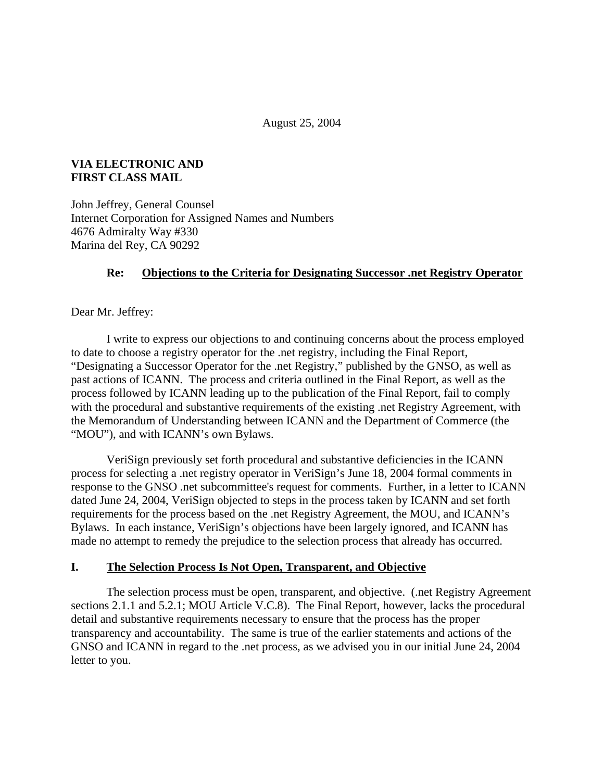August 25, 2004

### **VIA ELECTRONIC AND FIRST CLASS MAIL**

John Jeffrey, General Counsel Internet Corporation for Assigned Names and Numbers 4676 Admiralty Way #330 Marina del Rey, CA 90292

### **Re: Objections to the Criteria for Designating Successor .net Registry Operator**

Dear Mr. Jeffrey:

I write to express our objections to and continuing concerns about the process employed to date to choose a registry operator for the .net registry, including the Final Report, "Designating a Successor Operator for the .net Registry," published by the GNSO, as well as past actions of ICANN. The process and criteria outlined in the Final Report, as well as the process followed by ICANN leading up to the publication of the Final Report, fail to comply with the procedural and substantive requirements of the existing .net Registry Agreement, with the Memorandum of Understanding between ICANN and the Department of Commerce (the "MOU"), and with ICANN's own Bylaws.

VeriSign previously set forth procedural and substantive deficiencies in the ICANN process for selecting a .net registry operator in VeriSign's June 18, 2004 formal comments in response to the GNSO .net subcommittee's request for comments. Further, in a letter to ICANN dated June 24, 2004, VeriSign objected to steps in the process taken by ICANN and set forth requirements for the process based on the .net Registry Agreement, the MOU, and ICANN's Bylaws. In each instance, VeriSign's objections have been largely ignored, and ICANN has made no attempt to remedy the prejudice to the selection process that already has occurred.

### **I. The Selection Process Is Not Open, Transparent, and Objective**

The selection process must be open, transparent, and objective. (.net Registry Agreement sections 2.1.1 and 5.2.1; MOU Article V.C.8). The Final Report, however, lacks the procedural detail and substantive requirements necessary to ensure that the process has the proper transparency and accountability. The same is true of the earlier statements and actions of the GNSO and ICANN in regard to the .net process, as we advised you in our initial June 24, 2004 letter to you.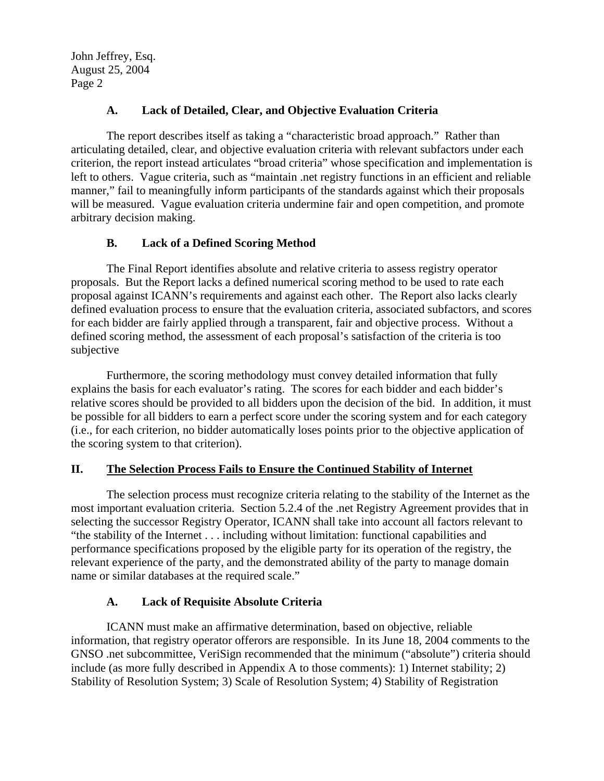#### **A. Lack of Detailed, Clear, and Objective Evaluation Criteria**

The report describes itself as taking a "characteristic broad approach." Rather than articulating detailed, clear, and objective evaluation criteria with relevant subfactors under each criterion, the report instead articulates "broad criteria" whose specification and implementation is left to others. Vague criteria, such as "maintain .net registry functions in an efficient and reliable manner," fail to meaningfully inform participants of the standards against which their proposals will be measured. Vague evaluation criteria undermine fair and open competition, and promote arbitrary decision making.

#### **B. Lack of a Defined Scoring Method**

The Final Report identifies absolute and relative criteria to assess registry operator proposals. But the Report lacks a defined numerical scoring method to be used to rate each proposal against ICANN's requirements and against each other. The Report also lacks clearly defined evaluation process to ensure that the evaluation criteria, associated subfactors, and scores for each bidder are fairly applied through a transparent, fair and objective process. Without a defined scoring method, the assessment of each proposal's satisfaction of the criteria is too subjective

Furthermore, the scoring methodology must convey detailed information that fully explains the basis for each evaluator's rating. The scores for each bidder and each bidder's relative scores should be provided to all bidders upon the decision of the bid. In addition, it must be possible for all bidders to earn a perfect score under the scoring system and for each category (i.e., for each criterion, no bidder automatically loses points prior to the objective application of the scoring system to that criterion).

#### **II. The Selection Process Fails to Ensure the Continued Stability of Internet**

The selection process must recognize criteria relating to the stability of the Internet as the most important evaluation criteria. Section 5.2.4 of the .net Registry Agreement provides that in selecting the successor Registry Operator, ICANN shall take into account all factors relevant to "the stability of the Internet . . . including without limitation: functional capabilities and performance specifications proposed by the eligible party for its operation of the registry, the relevant experience of the party, and the demonstrated ability of the party to manage domain name or similar databases at the required scale."

# **A. Lack of Requisite Absolute Criteria**

ICANN must make an affirmative determination, based on objective, reliable information, that registry operator offerors are responsible. In its June 18, 2004 comments to the GNSO .net subcommittee, VeriSign recommended that the minimum ("absolute") criteria should include (as more fully described in Appendix A to those comments): 1) Internet stability; 2) Stability of Resolution System; 3) Scale of Resolution System; 4) Stability of Registration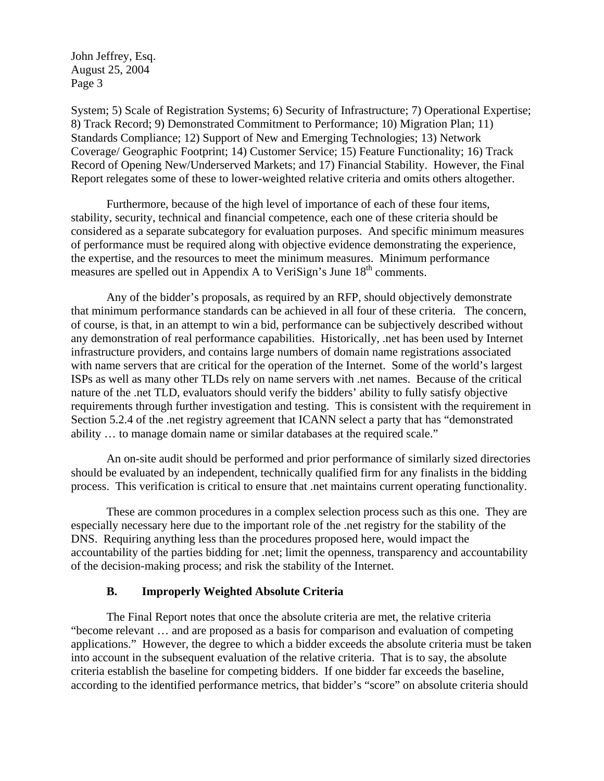System; 5) Scale of Registration Systems; 6) Security of Infrastructure; 7) Operational Expertise; 8) Track Record; 9) Demonstrated Commitment to Performance; 10) Migration Plan; 11) Standards Compliance; 12) Support of New and Emerging Technologies; 13) Network Coverage/ Geographic Footprint; 14) Customer Service; 15) Feature Functionality; 16) Track Record of Opening New/Underserved Markets; and 17) Financial Stability. However, the Final Report relegates some of these to lower-weighted relative criteria and omits others altogether.

Furthermore, because of the high level of importance of each of these four items, stability, security, technical and financial competence, each one of these criteria should be considered as a separate subcategory for evaluation purposes. And specific minimum measures of performance must be required along with objective evidence demonstrating the experience, the expertise, and the resources to meet the minimum measures. Minimum performance measures are spelled out in Appendix A to VeriSign's June  $18<sup>th</sup>$  comments.

Any of the bidder's proposals, as required by an RFP, should objectively demonstrate that minimum performance standards can be achieved in all four of these criteria. The concern, of course, is that, in an attempt to win a bid, performance can be subjectively described without any demonstration of real performance capabilities. Historically, .net has been used by Internet infrastructure providers, and contains large numbers of domain name registrations associated with name servers that are critical for the operation of the Internet. Some of the world's largest ISPs as well as many other TLDs rely on name servers with .net names. Because of the critical nature of the .net TLD, evaluators should verify the bidders' ability to fully satisfy objective requirements through further investigation and testing. This is consistent with the requirement in Section 5.2.4 of the .net registry agreement that ICANN select a party that has "demonstrated ability … to manage domain name or similar databases at the required scale."

An on-site audit should be performed and prior performance of similarly sized directories should be evaluated by an independent, technically qualified firm for any finalists in the bidding process. This verification is critical to ensure that .net maintains current operating functionality.

These are common procedures in a complex selection process such as this one. They are especially necessary here due to the important role of the .net registry for the stability of the DNS. Requiring anything less than the procedures proposed here, would impact the accountability of the parties bidding for .net; limit the openness, transparency and accountability of the decision-making process; and risk the stability of the Internet.

#### **B. Improperly Weighted Absolute Criteria**

The Final Report notes that once the absolute criteria are met, the relative criteria "become relevant … and are proposed as a basis for comparison and evaluation of competing applications." However, the degree to which a bidder exceeds the absolute criteria must be taken into account in the subsequent evaluation of the relative criteria. That is to say, the absolute criteria establish the baseline for competing bidders. If one bidder far exceeds the baseline, according to the identified performance metrics, that bidder's "score" on absolute criteria should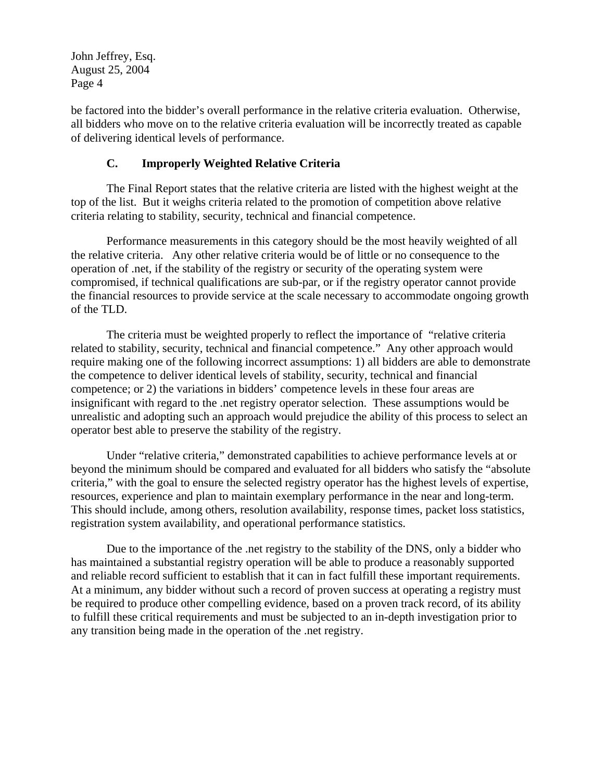be factored into the bidder's overall performance in the relative criteria evaluation. Otherwise, all bidders who move on to the relative criteria evaluation will be incorrectly treated as capable of delivering identical levels of performance.

#### **C. Improperly Weighted Relative Criteria**

The Final Report states that the relative criteria are listed with the highest weight at the top of the list. But it weighs criteria related to the promotion of competition above relative criteria relating to stability, security, technical and financial competence.

Performance measurements in this category should be the most heavily weighted of all the relative criteria. Any other relative criteria would be of little or no consequence to the operation of .net, if the stability of the registry or security of the operating system were compromised, if technical qualifications are sub-par, or if the registry operator cannot provide the financial resources to provide service at the scale necessary to accommodate ongoing growth of the TLD.

The criteria must be weighted properly to reflect the importance of "relative criteria related to stability, security, technical and financial competence." Any other approach would require making one of the following incorrect assumptions: 1) all bidders are able to demonstrate the competence to deliver identical levels of stability, security, technical and financial competence; or 2) the variations in bidders' competence levels in these four areas are insignificant with regard to the .net registry operator selection. These assumptions would be unrealistic and adopting such an approach would prejudice the ability of this process to select an operator best able to preserve the stability of the registry.

Under "relative criteria," demonstrated capabilities to achieve performance levels at or beyond the minimum should be compared and evaluated for all bidders who satisfy the "absolute criteria," with the goal to ensure the selected registry operator has the highest levels of expertise, resources, experience and plan to maintain exemplary performance in the near and long-term. This should include, among others, resolution availability, response times, packet loss statistics, registration system availability, and operational performance statistics.

Due to the importance of the .net registry to the stability of the DNS, only a bidder who has maintained a substantial registry operation will be able to produce a reasonably supported and reliable record sufficient to establish that it can in fact fulfill these important requirements. At a minimum, any bidder without such a record of proven success at operating a registry must be required to produce other compelling evidence, based on a proven track record, of its ability to fulfill these critical requirements and must be subjected to an in-depth investigation prior to any transition being made in the operation of the .net registry.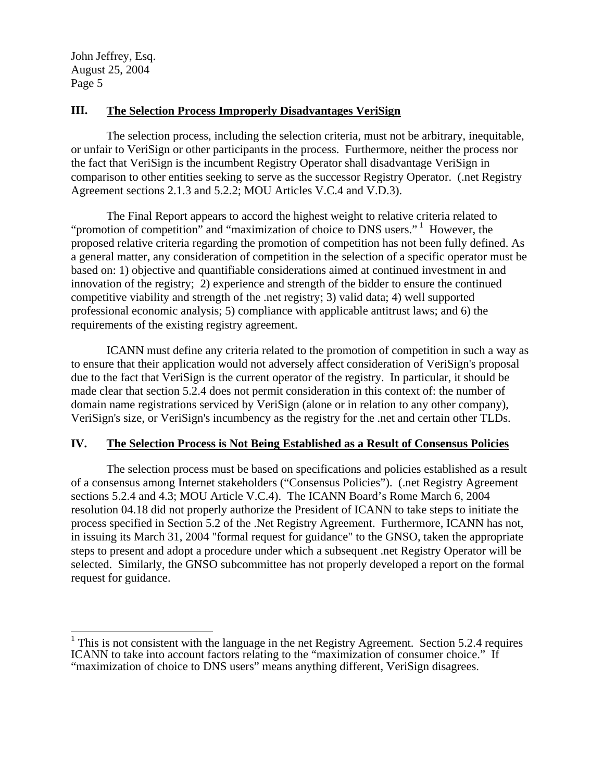## **III. The Selection Process Improperly Disadvantages VeriSign**

The selection process, including the selection criteria, must not be arbitrary, inequitable, or unfair to VeriSign or other participants in the process. Furthermore, neither the process nor the fact that VeriSign is the incumbent Registry Operator shall disadvantage VeriSign in comparison to other entities seeking to serve as the successor Registry Operator. (.net Registry Agreement sections 2.1.3 and 5.2.2; MOU Articles V.C.4 and V.D.3).

The Final Report appears to accord the highest weight to relative criteria related to "promotion of competition" and "maximization of choice to DNS users."<sup>1</sup> However, the proposed relative criteria regarding the promotion of competition has not been fully defined. As a general matter, any consideration of competition in the selection of a specific operator must be based on: 1) objective and quantifiable considerations aimed at continued investment in and innovation of the registry; 2) experience and strength of the bidder to ensure the continued competitive viability and strength of the .net registry; 3) valid data; 4) well supported professional economic analysis; 5) compliance with applicable antitrust laws; and 6) the requirements of the existing registry agreement.

ICANN must define any criteria related to the promotion of competition in such a way as to ensure that their application would not adversely affect consideration of VeriSign's proposal due to the fact that VeriSign is the current operator of the registry. In particular, it should be made clear that section 5.2.4 does not permit consideration in this context of: the number of domain name registrations serviced by VeriSign (alone or in relation to any other company), VeriSign's size, or VeriSign's incumbency as the registry for the .net and certain other TLDs.

# **IV. The Selection Process is Not Being Established as a Result of Consensus Policies**

The selection process must be based on specifications and policies established as a result of a consensus among Internet stakeholders ("Consensus Policies"). (.net Registry Agreement sections 5.2.4 and 4.3; MOU Article V.C.4). The ICANN Board's Rome March 6, 2004 resolution 04.18 did not properly authorize the President of ICANN to take steps to initiate the process specified in Section 5.2 of the .Net Registry Agreement. Furthermore, ICANN has not, in issuing its March 31, 2004 "formal request for guidance" to the GNSO, taken the appropriate steps to present and adopt a procedure under which a subsequent .net Registry Operator will be selected. Similarly, the GNSO subcommittee has not properly developed a report on the formal request for guidance.

<span id="page-4-0"></span><sup>&</sup>lt;sup>1</sup>This is not consistent with the language in the net Registry Agreement. Section 5.2.4 requires ICANN to take into account factors relating to the "maximization of consumer choice." If "maximization of choice to DNS users" means anything different, VeriSign disagrees.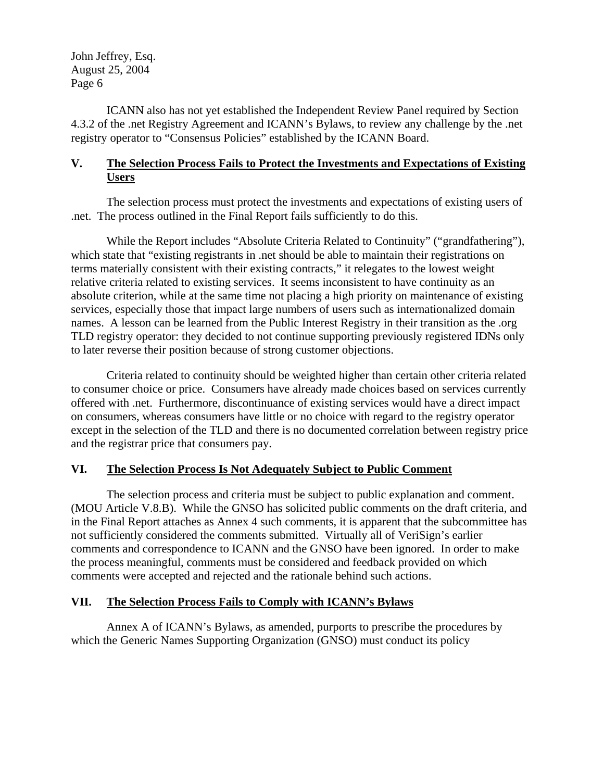ICANN also has not yet established the Independent Review Panel required by Section 4.3.2 of the .net Registry Agreement and ICANN's Bylaws, to review any challenge by the .net registry operator to "Consensus Policies" established by the ICANN Board.

### **V. The Selection Process Fails to Protect the Investments and Expectations of Existing Users**

The selection process must protect the investments and expectations of existing users of .net. The process outlined in the Final Report fails sufficiently to do this.

While the Report includes "Absolute Criteria Related to Continuity" ("grandfathering"), which state that "existing registrants in .net should be able to maintain their registrations on terms materially consistent with their existing contracts," it relegates to the lowest weight relative criteria related to existing services. It seems inconsistent to have continuity as an absolute criterion, while at the same time not placing a high priority on maintenance of existing services, especially those that impact large numbers of users such as internationalized domain names. A lesson can be learned from the Public Interest Registry in their transition as the .org TLD registry operator: they decided to not continue supporting previously registered IDNs only to later reverse their position because of strong customer objections.

Criteria related to continuity should be weighted higher than certain other criteria related to consumer choice or price. Consumers have already made choices based on services currently offered with .net. Furthermore, discontinuance of existing services would have a direct impact on consumers, whereas consumers have little or no choice with regard to the registry operator except in the selection of the TLD and there is no documented correlation between registry price and the registrar price that consumers pay.

# **VI. The Selection Process Is Not Adequately Subject to Public Comment**

The selection process and criteria must be subject to public explanation and comment. (MOU Article V.8.B). While the GNSO has solicited public comments on the draft criteria, and in the Final Report attaches as Annex 4 such comments, it is apparent that the subcommittee has not sufficiently considered the comments submitted. Virtually all of VeriSign's earlier comments and correspondence to ICANN and the GNSO have been ignored. In order to make the process meaningful, comments must be considered and feedback provided on which comments were accepted and rejected and the rationale behind such actions.

# **VII. The Selection Process Fails to Comply with ICANN's Bylaws**

Annex A of ICANN's Bylaws, as amended, purports to prescribe the procedures by which the Generic Names Supporting Organization (GNSO) must conduct its policy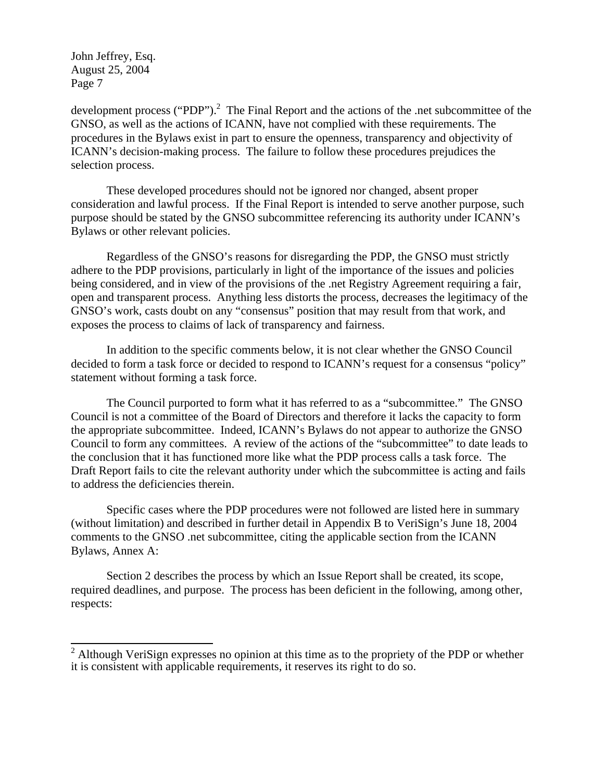development process ("PDP").<sup>[2](#page-6-0)</sup> The Final Report and the actions of the .net subcommittee of the GNSO, as well as the actions of ICANN, have not complied with these requirements. The procedures in the Bylaws exist in part to ensure the openness, transparency and objectivity of ICANN's decision-making process. The failure to follow these procedures prejudices the selection process.

These developed procedures should not be ignored nor changed, absent proper consideration and lawful process. If the Final Report is intended to serve another purpose, such purpose should be stated by the GNSO subcommittee referencing its authority under ICANN's Bylaws or other relevant policies.

Regardless of the GNSO's reasons for disregarding the PDP, the GNSO must strictly adhere to the PDP provisions, particularly in light of the importance of the issues and policies being considered, and in view of the provisions of the .net Registry Agreement requiring a fair, open and transparent process. Anything less distorts the process, decreases the legitimacy of the GNSO's work, casts doubt on any "consensus" position that may result from that work, and exposes the process to claims of lack of transparency and fairness.

In addition to the specific comments below, it is not clear whether the GNSO Council decided to form a task force or decided to respond to ICANN's request for a consensus "policy" statement without forming a task force.

The Council purported to form what it has referred to as a "subcommittee." The GNSO Council is not a committee of the Board of Directors and therefore it lacks the capacity to form the appropriate subcommittee. Indeed, ICANN's Bylaws do not appear to authorize the GNSO Council to form any committees. A review of the actions of the "subcommittee" to date leads to the conclusion that it has functioned more like what the PDP process calls a task force. The Draft Report fails to cite the relevant authority under which the subcommittee is acting and fails to address the deficiencies therein.

Specific cases where the PDP procedures were not followed are listed here in summary (without limitation) and described in further detail in Appendix B to VeriSign's June 18, 2004 comments to the GNSO .net subcommittee, citing the applicable section from the ICANN Bylaws, Annex A:

Section 2 describes the process by which an Issue Report shall be created, its scope, required deadlines, and purpose. The process has been deficient in the following, among other, respects:

<span id="page-6-0"></span><sup>&</sup>lt;sup>2</sup> Although VeriSign expresses no opinion at this time as to the propriety of the PDP or whether it is consistent with applicable requirements, it reserves its right to do so.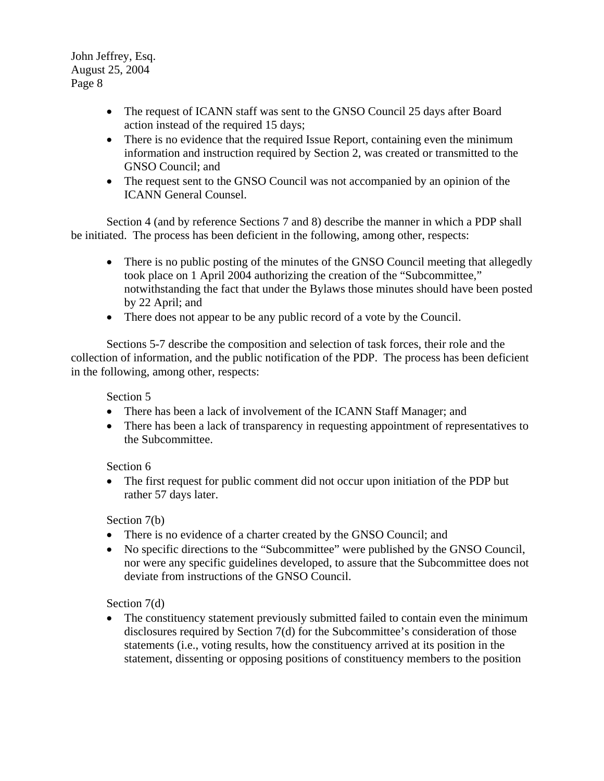- The request of ICANN staff was sent to the GNSO Council 25 days after Board action instead of the required 15 days;
- There is no evidence that the required Issue Report, containing even the minimum information and instruction required by Section 2, was created or transmitted to the GNSO Council; and
- The request sent to the GNSO Council was not accompanied by an opinion of the ICANN General Counsel.

Section 4 (and by reference Sections 7 and 8) describe the manner in which a PDP shall be initiated. The process has been deficient in the following, among other, respects:

- There is no public posting of the minutes of the GNSO Council meeting that allegedly took place on 1 April 2004 authorizing the creation of the "Subcommittee," notwithstanding the fact that under the Bylaws those minutes should have been posted by 22 April; and
- There does not appear to be any public record of a vote by the Council.

Sections 5-7 describe the composition and selection of task forces, their role and the collection of information, and the public notification of the PDP. The process has been deficient in the following, among other, respects:

Section 5

- There has been a lack of involvement of the ICANN Staff Manager; and
- There has been a lack of transparency in requesting appointment of representatives to the Subcommittee.

Section 6

• The first request for public comment did not occur upon initiation of the PDP but rather 57 days later.

Section 7(b)

- There is no evidence of a charter created by the GNSO Council; and
- No specific directions to the "Subcommittee" were published by the GNSO Council, nor were any specific guidelines developed, to assure that the Subcommittee does not deviate from instructions of the GNSO Council.

Section 7(d)

• The constituency statement previously submitted failed to contain even the minimum disclosures required by Section 7(d) for the Subcommittee's consideration of those statements (i.e., voting results, how the constituency arrived at its position in the statement, dissenting or opposing positions of constituency members to the position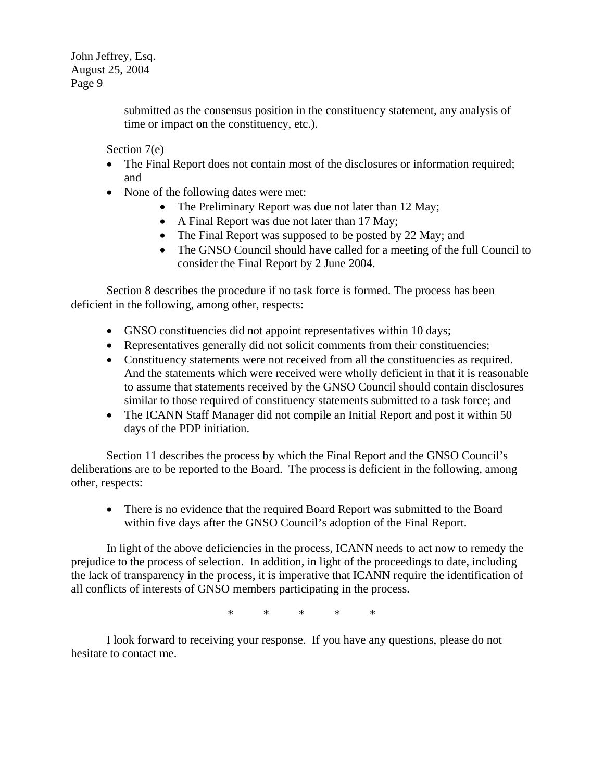> submitted as the consensus position in the constituency statement, any analysis of time or impact on the constituency, etc.).

Section 7(e)

- The Final Report does not contain most of the disclosures or information required; and
- None of the following dates were met:
	- The Preliminary Report was due not later than 12 May;
	- A Final Report was due not later than 17 May;
	- The Final Report was supposed to be posted by 22 May; and
	- The GNSO Council should have called for a meeting of the full Council to consider the Final Report by 2 June 2004.

 Section 8 describes the procedure if no task force is formed. The process has been deficient in the following, among other, respects:

- GNSO constituencies did not appoint representatives within 10 days;
- Representatives generally did not solicit comments from their constituencies;
- Constituency statements were not received from all the constituencies as required. And the statements which were received were wholly deficient in that it is reasonable to assume that statements received by the GNSO Council should contain disclosures similar to those required of constituency statements submitted to a task force; and
- The ICANN Staff Manager did not compile an Initial Report and post it within 50 days of the PDP initiation.

Section 11 describes the process by which the Final Report and the GNSO Council's deliberations are to be reported to the Board. The process is deficient in the following, among other, respects:

• There is no evidence that the required Board Report was submitted to the Board within five days after the GNSO Council's adoption of the Final Report.

In light of the above deficiencies in the process, ICANN needs to act now to remedy the prejudice to the process of selection. In addition, in light of the proceedings to date, including the lack of transparency in the process, it is imperative that ICANN require the identification of all conflicts of interests of GNSO members participating in the process.

\* \* \* \* \*

I look forward to receiving your response. If you have any questions, please do not hesitate to contact me.